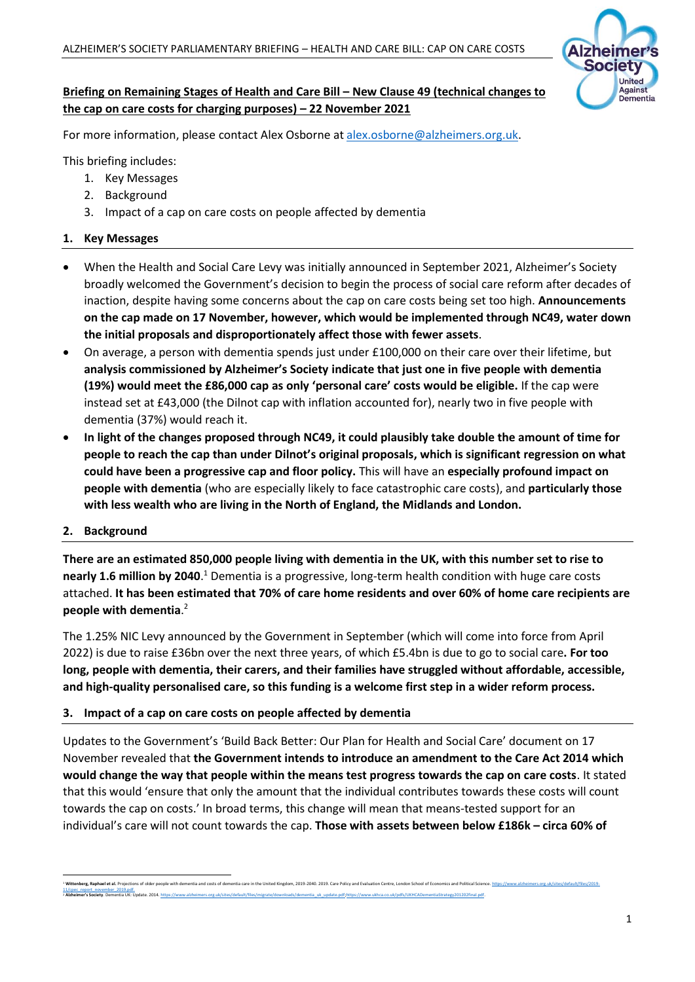

## **Briefing on Remaining Stages of Health and Care Bill – New Clause 49 (technical changes to the cap on care costs for charging purposes) – 22 November 2021**

For more information, please contact Alex Osborne at [alex.osborne@alzheimers.org.uk.](mailto:alex.osborne@alzheimers.org.uk)

This briefing includes:

- 1. Key Messages
- 2. Background
- 3. Impact of a cap on care costs on people affected by dementia

### **1. Key Messages**

- When the Health and Social Care Levy was initially announced in September 2021, Alzheimer's Society broadly welcomed the Government's decision to begin the process of social care reform after decades of inaction, despite having some concerns about the cap on care costs being set too high. **Announcements on the cap made on 17 November, however, which would be implemented through NC49, water down the initial proposals and disproportionately affect those with fewer assets**.
- On average, a person with dementia spends just under £100,000 on their care over their lifetime, but **analysis commissioned by Alzheimer's Society indicate that just one in five people with dementia (19%) would meet the £86,000 cap as only 'personal care' costs would be eligible.** If the cap were instead set at £43,000 (the Dilnot cap with inflation accounted for), nearly two in five people with dementia (37%) would reach it.
- **In light of the changes proposed through NC49, it could plausibly take double the amount of time for people to reach the cap than under Dilnot's original proposals, which is significant regression on what could have been a progressive cap and floor policy.** This will have an **especially profound impact on people with dementia** (who are especially likely to face catastrophic care costs), and **particularly those with less wealth who are living in the North of England, the Midlands and London.**

#### **2. Background**

**There are an estimated 850,000 people living with dementia in the UK, with this number set to rise to**  nearly 1.6 million by 2040.<sup>1</sup> Dementia is a progressive, long-term health condition with huge care costs attached. **It has been estimated that 70% of care home residents and over 60% of home care recipients are people with dementia**. 2

The 1.25% NIC Levy announced by the Government in September (which will come into force from April 2022) is due to raise £36bn over the next three years, of which £5.4bn is due to go to social care**. For too long, people with dementia, their carers, and their families have struggled without affordable, accessible, and high-quality personalised care, so this funding is a welcome first step in a wider reform process.**

### **3. Impact of a cap on care costs on people affected by dementia**

Updates to the Government's 'Build Back Better: Our Plan for Health and Social Care' document on 17 November revealed that **the Government intends to introduce an amendment to the Care Act 2014 which would change the way that people within the means test progress towards the cap on care costs**. It stated that this would 'ensure that only the amount that the individual contributes towards these costs will count towards the cap on costs.' In broad terms, this change will mean that means-tested support for an individual's care will not count towards the cap. **Those with assets between below £186k – circa 60% of** 

<sup>&</sup>lt;sup>2</sup> Wittenberg, Raphael et al-Projections of oder people with dementia and costs of dementia care in the United Kingdom, 2019-2040. 2019. Care Policy and Fvaluation Centre, London School of Economics and Political Science. <sup>2</sup> **Alzheimer's Society**. Dementia UK: Update. 201[4. https://www.alzheimers.org.uk/sites/default/files/migrate/downloads/dementia\\_uk\\_update.pdf;](https://www.alzheimers.org.uk/sites/default/files/migrate/downloads/dementia_uk_update.pdf)[https://www.ukhca.co.uk/pdfs/UKHCADementiaStrategy201202final.pdf.](https://www.ukhca.co.uk/pdfs/UKHCADementiaStrategy201202final.pdf)